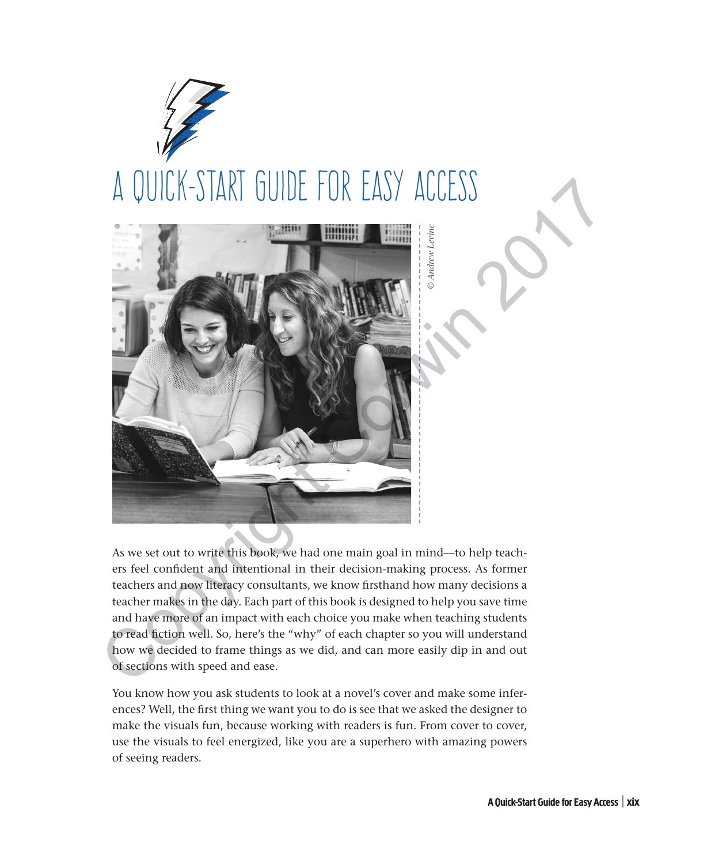



As we set out to write this book, we had one main goal in mind—to help teachers feel confident and intentional in their decision-making process. As former teachers and now literacy consultants, we know firsthand how many decisions a teacher makes in the day. Each part of this book is designed to help you save time and have more of an impact with each choice you make when teaching students to read fiction well. So, here's the "why" of each chapter so you will understand how we decided to frame things as we did, and can more easily dip in and out of sections with speed and ease.

You know how you ask students to look at a novel's cover and make some inferences? Well, the first thing we want you to do is see that we asked the designer to make the visuals fun, because working with readers is fun. From cover to cover, use the visuals to feel energized, like you are a superhero with amazing powers of seeing readers.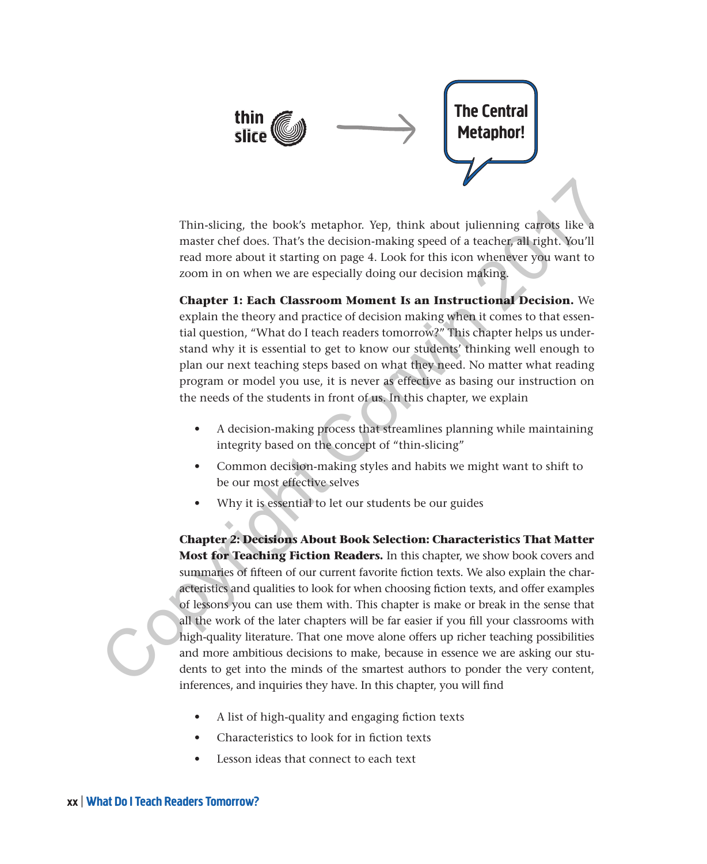

Thin-slicing, the book's metaphor. Yep, think about julienning carrots like a master chef does. That's the decision-making speed of a teacher, all right. You'll read more about it starting on page 4. Look for this icon whenever you want to zoom in on when we are especially doing our decision making.

**Chapter 1: Each Classroom Moment Is an Instructional Decision.** We explain the theory and practice of decision making when it comes to that essential question, "What do I teach readers tomorrow?" This chapter helps us understand why it is essential to get to know our students' thinking well enough to plan our next teaching steps based on what they need. No matter what reading program or model you use, it is never as effective as basing our instruction on the needs of the students in front of us. In this chapter, we explain

- A decision-making process that streamlines planning while maintaining integrity based on the concept of "thin-slicing"
- Common decision-making styles and habits we might want to shift to be our most effective selves
- Why it is essential to let our students be our guides

**Chapter 2: Decisions About Book Selection: Characteristics That Matter Most for Teaching Fiction Readers.** In this chapter, we show book covers and summaries of fifteen of our current favorite fiction texts. We also explain the characteristics and qualities to look for when choosing fiction texts, and offer examples of lessons you can use them with. This chapter is make or break in the sense that all the work of the later chapters will be far easier if you fill your classrooms with high-quality literature. That one move alone offers up richer teaching possibilities and more ambitious decisions to make, because in essence we are asking our students to get into the minds of the smartest authors to ponder the very content, inferences, and inquiries they have. In this chapter, you will find Thin-slicing, the book's metaphor. Yep, think about julienning cary<br>as like a master chef does. That's the decision-making speed of a teacher all right, You'll<br>read more about it starting on page 4. Look for this icon whe

- A list of high-quality and engaging fiction texts
- Characteristics to look for in fiction texts
- Lesson ideas that connect to each text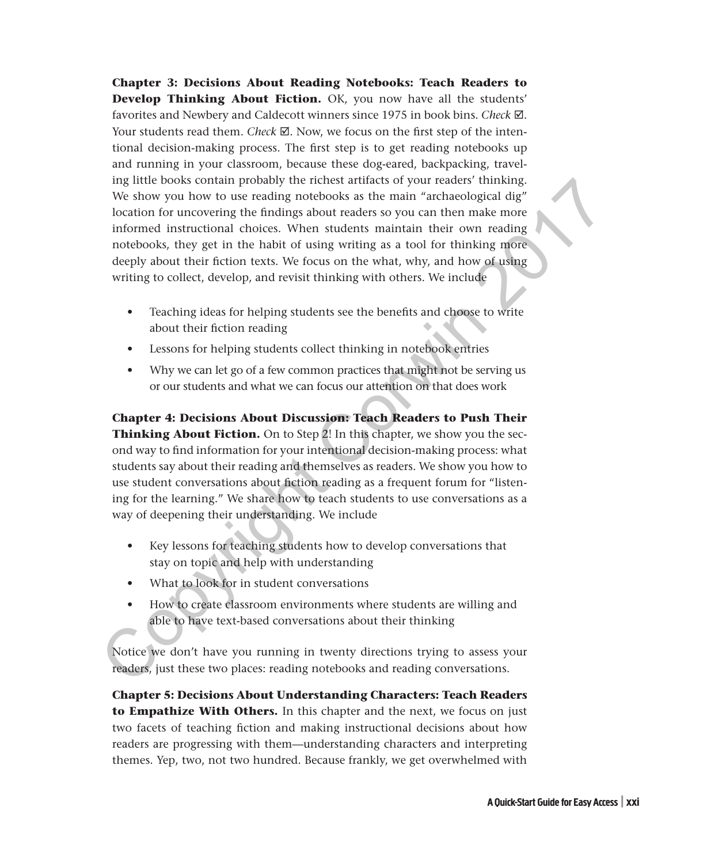**Chapter 3: Decisions About Reading Notebooks: Teach Readers to Develop Thinking About Fiction.** OK, you now have all the students' favorites and Newbery and Caldecott winners since 1975 in book bins. *Check* . Your students read them. *Check*  $\boxtimes$ . Now, we focus on the first step of the intentional decision-making process. The first step is to get reading notebooks up and running in your classroom, because these dog-eared, backpacking, traveling little books contain probably the richest artifacts of your readers' thinking. We show you how to use reading notebooks as the main "archaeological dig" location for uncovering the findings about readers so you can then make more informed instructional choices. When students maintain their own reading notebooks, they get in the habit of using writing as a tool for thinking more deeply about their fiction texts. We focus on the what, why, and how of using writing to collect, develop, and revisit thinking with others. We include

- Teaching ideas for helping students see the benefits and choose to write about their fiction reading
- Lessons for helping students collect thinking in notebook entries
- Why we can let go of a few common practices that might not be serving us or our students and what we can focus our attention on that does work

**Chapter 4: Decisions About Discussion: Teach Readers to Push Their Thinking About Fiction.** On to Step 2! In this chapter, we show you the second way to find information for your intentional decision-making process: what students say about their reading and themselves as readers. We show you how to use student conversations about fiction reading as a frequent forum for "listening for the learning." We share how to teach students to use conversations as a way of deepening their understanding. We include In the books contain probably the richest attracts of your readers thinking<br>
We show you how to use reading notebooks as the main "archaeological dig"<br>
location for uncovering the findings about readers so you can then ma

- Key lessons for teaching students how to develop conversations that stay on topic and help with understanding
- What to look for in student conversations
- How to create classroom environments where students are willing and able to have text-based conversations about their thinking

Notice we don't have you running in twenty directions trying to assess your readers, just these two places: reading notebooks and reading conversations.

**Chapter 5: Decisions About Understanding Characters: Teach Readers to Empathize With Others.** In this chapter and the next, we focus on just two facets of teaching fiction and making instructional decisions about how readers are progressing with them—understanding characters and interpreting themes. Yep, two, not two hundred. Because frankly, we get overwhelmed with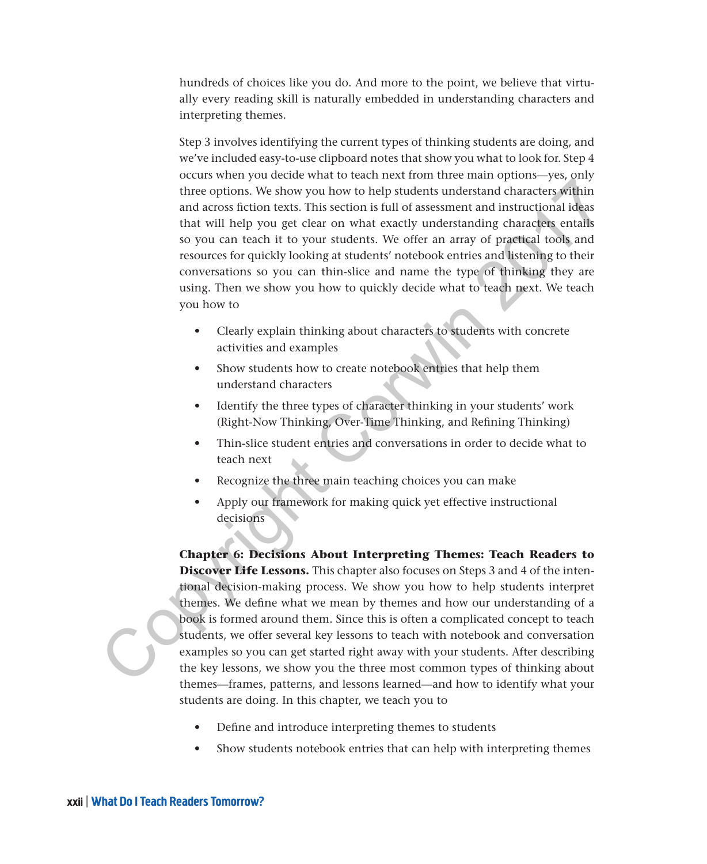hundreds of choices like you do. And more to the point, we believe that virtually every reading skill is naturally embedded in understanding characters and interpreting themes.

Step 3 involves identifying the current types of thinking students are doing, and we've included easy-to-use clipboard notes that show you what to look for. Step 4 occurs when you decide what to teach next from three main options—yes, only three options. We show you how to help students understand characters within and across fiction texts. This section is full of assessment and instructional ideas that will help you get clear on what exactly understanding characters entails so you can teach it to your students. We offer an array of practical tools and resources for quickly looking at students' notebook entries and listening to their conversations so you can thin-slice and name the type of thinking they are using. Then we show you how to quickly decide what to teach next. We teach you how to

- Clearly explain thinking about characters to students with concrete activities and examples
- Show students how to create notebook entries that help them understand characters
- Identify the three types of character thinking in your students' work (Right-Now Thinking, Over-Time Thinking, and Refining Thinking)
- Thin-slice student entries and conversations in order to decide what to teach next
- Recognize the three main teaching choices you can make
- Apply our framework for making quick yet effective instructional decisions

**Chapter 6: Decisions About Interpreting Themes: Teach Readers to Discover Life Lessons.** This chapter also focuses on Steps 3 and 4 of the intentional decision-making process. We show you how to help students interpret themes. We define what we mean by themes and how our understanding of a book is formed around them. Since this is often a complicated concept to teach students, we offer several key lessons to teach with notebook and conversation examples so you can get started right away with your students. After describing the key lessons, we show you the three most common types of thinking about themes—frames, patterns, and lessons learned—and how to identify what your students are doing. In this chapter, we teach you to The decision of the students and conversation of the students and characters within<br>and accorsistent texts. This section is full of assessment and instructional delay<br>so you can teach it to your students. We offer an array

- Define and introduce interpreting themes to students
- Show students notebook entries that can help with interpreting themes